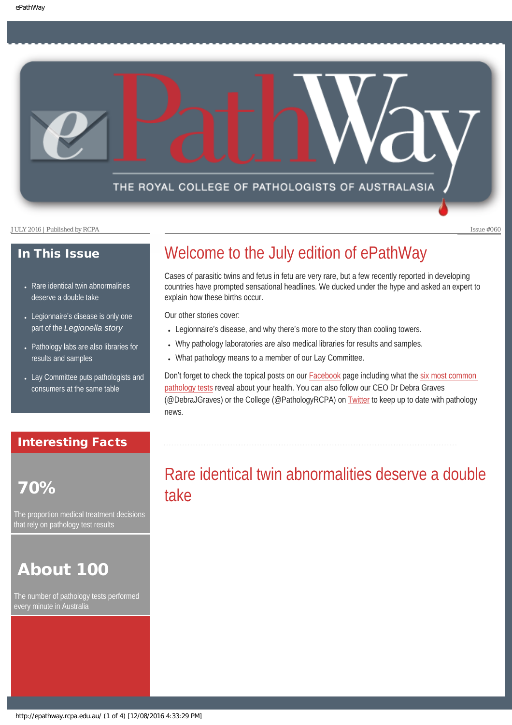## THE ROYAL COLLEGE OF PATHOLOGISTS OF AUSTRALASIA

JULY 2016 | Published by RCPA Issue #060

### In This Issue

- Rare identical twin abnormalities [deserve a double take](#page-0-0)
- Legionnaire's disease is only one part of the *[Legionella story](#page-1-0)*
- Pathology labs are also libraries for [results and samples](#page-2-0)
- [Lay Committee puts pathologists and](#page-2-1) [consumers at the same table](#page-2-1)

### Interesting Facts

# <span id="page-0-0"></span>70%

The proportion medical treatment decisions that rely on pathology test results

# About 100

The number of pathology tests performed every minute in Australia

# Welcome to the July edition of ePathWay

Cases of parasitic twins and fetus in fetu are very rare, but a few recently reported in developing countries have prompted sensational headlines. We ducked under the hype and asked an expert to explain how these births occur.

Our other stories cover:

- Legionnaire's disease, and why there's more to the story than cooling towers.
- Why pathology laboratories are also medical libraries for results and samples.
- What pathology means to a member of our Lay Committee.

Don't forget to check the topical posts on our [Facebook](https://www.facebook.com/TheRoyalCollegeOfPathologistsOfAustralasia/) page including what the six most common [pathology tests](http://www.knowpathology.com.au/2016/04/6-common-pathology-tests-reveal-health/) reveal about your health. You can also follow our CEO Dr Debra Graves (@DebraJGraves) or the College (@PathologyRCPA) on [Twitter](https://twitter.com/pathologyrcpa) to keep up to date with pathology news.

# Rare identical twin abnormalities deserve a double take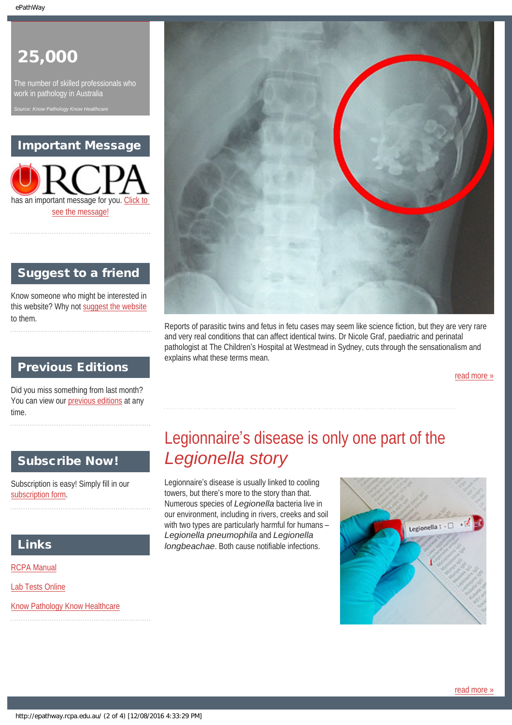# 25,000

The number of skilled professionals who work in pathology in Australia

*Source: Know Hearthcare* 

### Important Message



### Suggest to a friend

Know someone who might be interested in this website? Why not [suggest the website](mailto:?Subject=I%20think%20you%20should%20read%20this%20Newsletter=
http://epathway.rcpa.edu.au/index.html) to them.

### Previous Editions

Did you miss something from last month? You can view our [previous editions](#page-5-0) at any time.

### <span id="page-1-0"></span>Subscribe Now!

Subscription is easy! Simply fill in our [subscription form](#page-7-0).

### Links

[RCPA Manual](http://rcpamanual.edu.au/)

[Lab Tests Online](http://www.labtestsonline.org.au/)

[Know Pathology Know Healthcare](http://knowpathology.com.au/)



Reports of parasitic twins and fetus in fetu cases may seem like science fiction, but they are very rare and very real conditions that can affect identical twins. Dr Nicole Graf, paediatric and perinatal pathologist at The Children's Hospital at Westmead in Sydney, cuts through the sensationalism and explains what these terms mean.

[read more »](#page-8-0)

# Legionnaire's disease is only one part of the *Legionella story*

Legionnaire's disease is usually linked to cooling towers, but there's more to the story than that. Numerous species of *Legionella* bacteria live in our environment, including in rivers, creeks and soil with two types are particularly harmful for humans – *Legionella pneumophila* and *Legionella longbeachae*. Both cause notifiable infections.

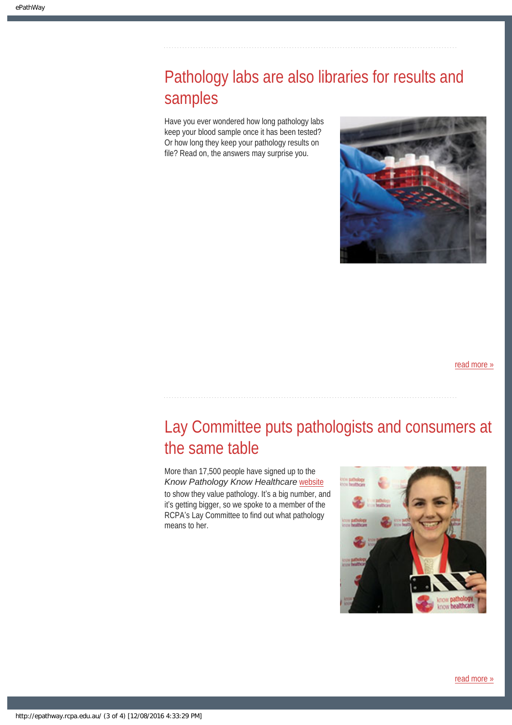# <span id="page-2-0"></span>Pathology labs are also libraries for results and samples

Have you ever wondered how long pathology labs keep your blood sample once it has been tested? Or how long they keep your pathology results on file? Read on, the answers may surprise you.



[read more »](#page-12-0)

# <span id="page-2-1"></span>Lay Committee puts pathologists and consumers at the same table

More than 17,500 people have signed up to the *Know Pathology Know Healthcare* [website](http://www.knowpathology.com.au/) to show they value pathology. It's a big number, and it's getting bigger, so we spoke to a member of the RCPA's Lay Committee to find out what pathology means to her.

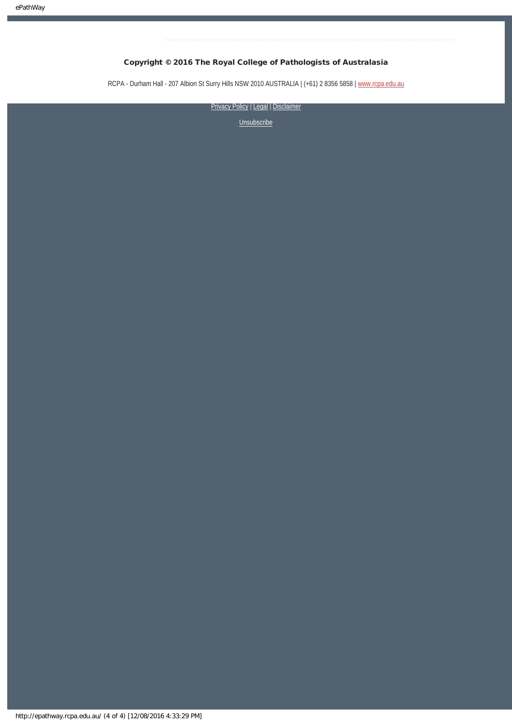### Copyright © 2016 The Royal College of Pathologists of Australasia

RCPA - Durham Hall - 207 Albion St Surry Hills NSW 2010 AUSTRALIA | (+61) 2 8356 5858 | [www.rcpa.edu.au](https://www.rcpa.edu.au/)

[Privacy Policy](https://www.rcpa.edu.au/Privacy-Policy.aspx) | [Legal](https://www.rcpa.edu.au/Legal.aspx) | Disclaimer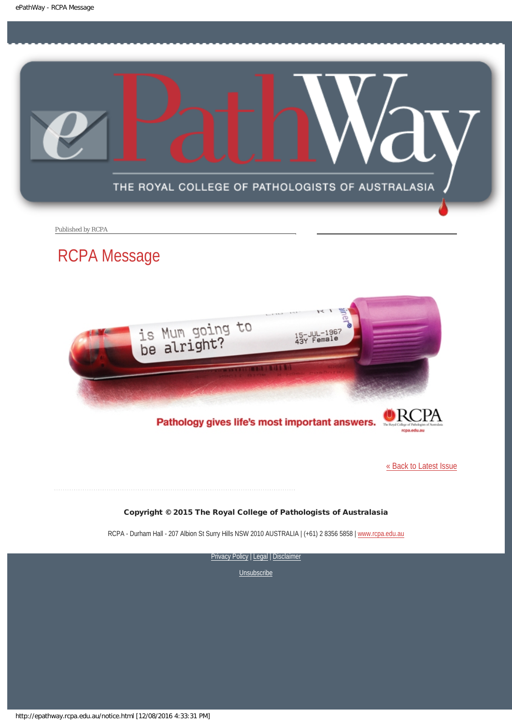<span id="page-4-0"></span>

Published by RCPA

# RCPA Message



Pathology gives life's most important answers.

[« Back to Latest Issue](http://epathway.rcpa.edu.au/index.html)

### Copyright © 2015 The Royal College of Pathologists of Australasia

RCPA - Durham Hall - 207 Albion St Surry Hills NSW 2010 AUSTRALIA | (+61) 2 8356 5858 | [www.rcpa.edu.au](https://www.rcpa.edu.au/)

[Privacy Policy](https://www.rcpa.edu.au/Content-Library/Privacy.aspx) | [Legal](https://www.rcpa.edu.au/Legal.aspx) | Disclaimer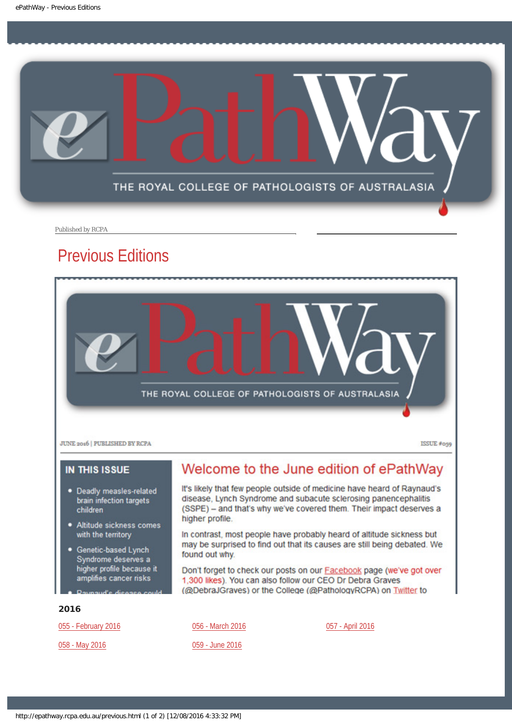<span id="page-5-0"></span>

Published by RCPA

# Previous Editions



**JUNE 2016 | PUBLISHED BY RCPA** 

ISSUE #059

### **IN THIS ISSUE**

- · Deadly measles-related brain infection targets children
- Altitude sickness comes with the territory
- Genetic-based Lynch Syndrome deserves a higher profile because it amplifies cancer risks

# Welcome to the June edition of ePathWay

It's likely that few people outside of medicine have heard of Raynaud's disease, Lynch Syndrome and subacute sclerosing panencephalitis (SSPE) - and that's why we've covered them. Their impact deserves a higher profile.

In contrast, most people have probably heard of altitude sickness but may be surprised to find out that its causes are still being debated. We found out why.

Don't forget to check our posts on our Facebook page (we've got over 1,300 likes). You can also follow our CEO Dr Debra Graves (@DebraJGraves) or the College (@PathologyRCPA) on Twitter to

### 2016

[055 - February 2016](http://epathway.rcpa.edu.au/previous/055_0216.pdf)

[058 - May 2016](http://epathway.rcpa.edu.au/previous/058_0516.pdf)

[056 - March 2016](http://epathway.rcpa.edu.au/previous/056_0316.pdf)

[059 - June 2016](http://epathway.rcpa.edu.au/previous/059_0616.pdf)

[057 - April 2016](http://epathway.rcpa.edu.au/previous/057_0416.pdf)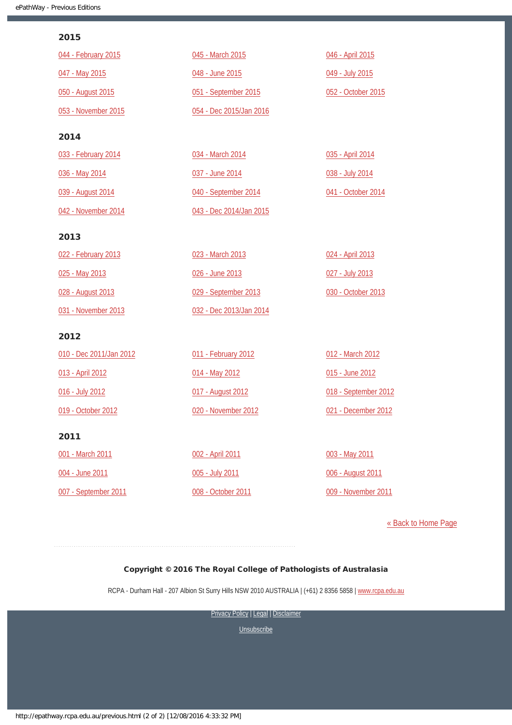### 2015

| 044 - February 2015     | 045 - March 2015        | 046 - April 2015     |
|-------------------------|-------------------------|----------------------|
| 047 - May 2015          | 048 - June 2015         | 049 - July 2015      |
| 050 - August 2015       | 051 - September 2015    | 052 - October 2015   |
| 053 - November 2015     | 054 - Dec 2015/Jan 2016 |                      |
| 2014                    |                         |                      |
| 033 - February 2014     | 034 - March 2014        | 035 - April 2014     |
| 036 - May 2014          | 037 - June 2014         | 038 - July 2014      |
| 039 - August 2014       | 040 - September 2014    | 041 - October 2014   |
| 042 - November 2014     | 043 - Dec 2014/Jan 2015 |                      |
| 2013                    |                         |                      |
| 022 - February 2013     | 023 - March 2013        | 024 - April 2013     |
| 025 - May 2013          | 026 - June 2013         | 027 - July 2013      |
| 028 - August 2013       | 029 - September 2013    | 030 - October 2013   |
| 031 - November 2013     | 032 - Dec 2013/Jan 2014 |                      |
| 2012                    |                         |                      |
| 010 - Dec 2011/Jan 2012 | 011 - February 2012     | 012 - March 2012     |
| 013 - April 2012        | 014 - May 2012          | 015 - June 2012      |
| 016 - July 2012         | 017 - August 2012       | 018 - September 2012 |
| 019 - October 2012      | 020 - November 2012     | 021 - December 2012  |
| 2011                    |                         |                      |
| 001 - March 2011        | 002 - April 2011        | 003 - May 2011       |
| 004 - June 2011         | 005 - July 2011         | 006 - August 2011    |
| 007 - September 2011    | 008 - October 2011      | 009 - November 2011  |

[« Back to Home Page](http://epathway.rcpa.edu.au/index.html)

### Copyright © 2016 The Royal College of Pathologists of Australasia

RCPA - Durham Hall - 207 Albion St Surry Hills NSW 2010 AUSTRALIA | (+61) 2 8356 5858 | [www.rcpa.edu.au](https://www.rcpa.edu.au/)

[Privacy Policy](https://www.rcpa.edu.au/Content-Library/Privacy.aspx) | [Legal](https://www.rcpa.edu.au/Legal.aspx) | Disclaimer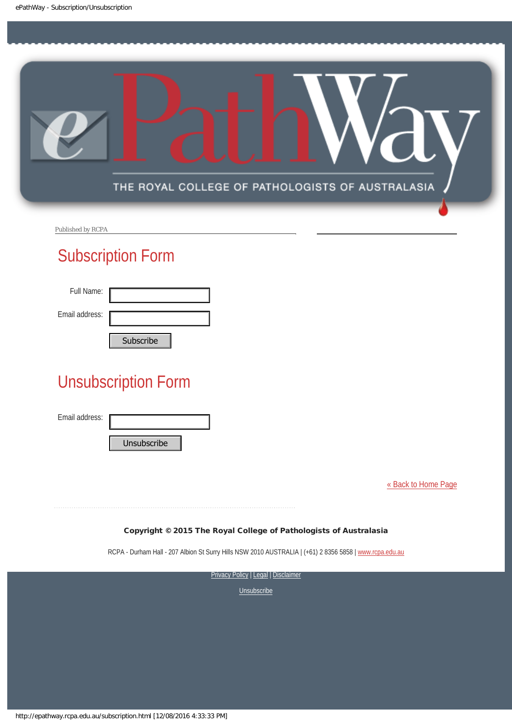<span id="page-7-0"></span>

Published by RCPA

# Subscription Form

| Full Name:     |           |
|----------------|-----------|
| Email address: |           |
|                | Cubccribo |

# Unsubscription Form Subscribe<br>
Unsubscription Form<br>
Email address:<br>
Unsubscribe<br>
Copyright © 2015 The Roy<br>
RCPA - Durham Hall - 207 Albion St Surry Hi<br>
STRRE<br>
Subscribe University Prices

Email address:

[« Back to Home Page](http://epathway.rcpa.edu.au/index.html)

### Copyright © 2015 The Royal College of Pathologists of Australasia

RCPA - Durham Hall - 207 Albion St Surry Hills NSW 2010 AUSTRALIA | (+61) 2 8356 5858 | [www.rcpa.edu.au](http://www.rcpa.edu.au/)

**[Privacy Policy](http://www.rcpa.edu.au/Content-Library/Privacy.aspx) | [Legal](http://www.rcpa.edu.au/Legal.aspx) | Disclaimer**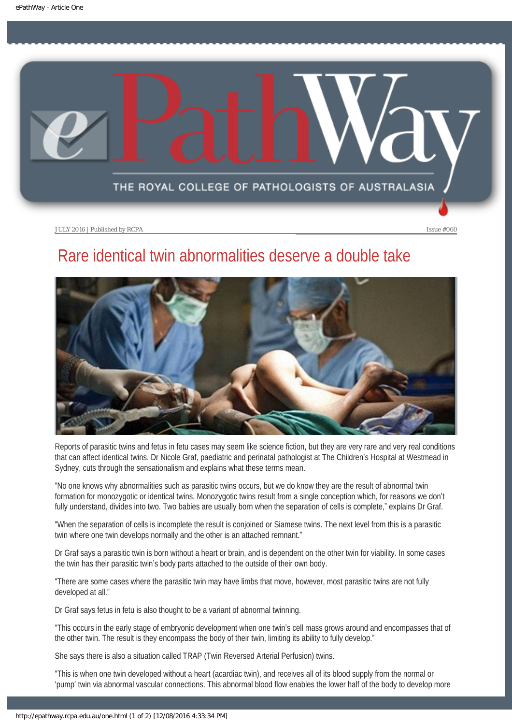<span id="page-8-0"></span>

# Rare identical twin abnormalities deserve a double take



Reports of parasitic twins and fetus in fetu cases may seem like science fiction, but they are very rare and very real conditions that can affect identical twins. Dr Nicole Graf, paediatric and perinatal pathologist at The Children's Hospital at Westmead in Sydney, cuts through the sensationalism and explains what these terms mean.

"No one knows why abnormalities such as parasitic twins occurs, but we do know they are the result of abnormal twin formation for monozygotic or identical twins. Monozygotic twins result from a single conception which, for reasons we don't fully understand, divides into two. Two babies are usually born when the separation of cells is complete," explains Dr Graf.

"When the separation of cells is incomplete the result is conjoined or Siamese twins. The next level from this is a parasitic twin where one twin develops normally and the other is an attached remnant."

Dr Graf says a parasitic twin is born without a heart or brain, and is dependent on the other twin for viability. In some cases the twin has their parasitic twin's body parts attached to the outside of their own body.

"There are some cases where the parasitic twin may have limbs that move, however, most parasitic twins are not fully developed at all."

Dr Graf says fetus in fetu is also thought to be a variant of abnormal twinning.

"This occurs in the early stage of embryonic development when one twin's cell mass grows around and encompasses that of the other twin. The result is they encompass the body of their twin, limiting its ability to fully develop."

She says there is also a situation called TRAP (Twin Reversed Arterial Perfusion) twins.

"This is when one twin developed without a heart (acardiac twin), and receives all of its blood supply from the normal or 'pump' twin via abnormal vascular connections. This abnormal blood flow enables the lower half of the body to develop more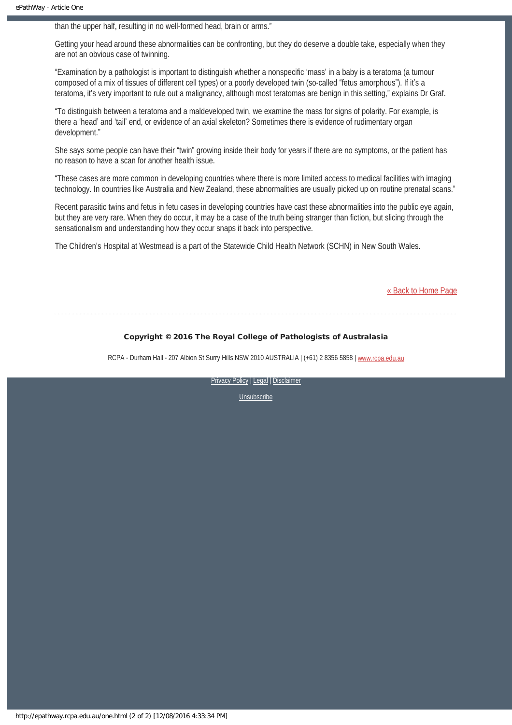than the upper half, resulting in no well-formed head, brain or arms."

Getting your head around these abnormalities can be confronting, but they do deserve a double take, especially when they are not an obvious case of twinning.

"Examination by a pathologist is important to distinguish whether a nonspecific 'mass' in a baby is a teratoma (a tumour composed of a mix of tissues of different cell types) or a poorly developed twin (so-called "fetus amorphous"). If it's a teratoma, it's very important to rule out a malignancy, although most teratomas are benign in this setting," explains Dr Graf.

"To distinguish between a teratoma and a maldeveloped twin, we examine the mass for signs of polarity. For example, is there a 'head' and 'tail' end, or evidence of an axial skeleton? Sometimes there is evidence of rudimentary organ development."

She says some people can have their "twin" growing inside their body for years if there are no symptoms, or the patient has no reason to have a scan for another health issue.

"These cases are more common in developing countries where there is more limited access to medical facilities with imaging technology. In countries like Australia and New Zealand, these abnormalities are usually picked up on routine prenatal scans."

Recent parasitic twins and fetus in fetu cases in developing countries have cast these abnormalities into the public eye again, but they are very rare. When they do occur, it may be a case of the truth being stranger than fiction, but slicing through the sensationalism and understanding how they occur snaps it back into perspective.

The Children's Hospital at Westmead is a part of the Statewide Child Health Network (SCHN) in New South Wales.

[« Back to Home Page](http://epathway.rcpa.edu.au/index.html)

### Copyright © 2016 The Royal College of Pathologists of Australasia

RCPA - Durham Hall - 207 Albion St Surry Hills NSW 2010 AUSTRALIA | (+61) 2 8356 5858 | [www.rcpa.edu.au](https://www.rcpa.edu.au/)

[Privacy Policy](https://www.rcpa.edu.au/Content-Library/Privacy.aspx) | [Legal](https://www.rcpa.edu.au/Legal.aspx) | Disclaimer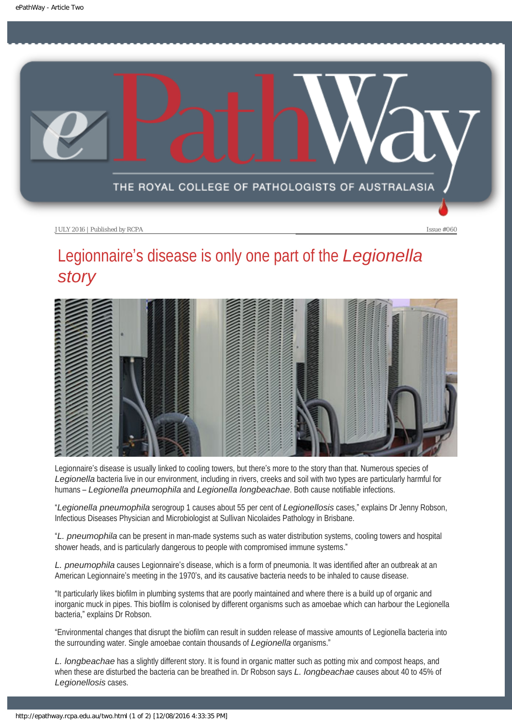<span id="page-10-0"></span>

# Legionnaire's disease is only one part of the *Legionella story*



Legionnaire's disease is usually linked to cooling towers, but there's more to the story than that. Numerous species of *Legionella* bacteria live in our environment, including in rivers, creeks and soil with two types are particularly harmful for humans – *Legionella pneumophila* and *Legionella longbeachae*. Both cause notifiable infections.

"*Legionella pneumophila* serogroup 1 causes about 55 per cent of *Legionellosis* cases," explains Dr Jenny Robson, Infectious Diseases Physician and Microbiologist at Sullivan Nicolaides Pathology in Brisbane.

"*L. pneumophila* can be present in man-made systems such as water distribution systems, cooling towers and hospital shower heads, and is particularly dangerous to people with compromised immune systems."

*L. pneumophila* causes Legionnaire's disease, which is a form of pneumonia. It was identified after an outbreak at an American Legionnaire's meeting in the 1970's, and its causative bacteria needs to be inhaled to cause disease.

"It particularly likes biofilm in plumbing systems that are poorly maintained and where there is a build up of organic and inorganic muck in pipes. This biofilm is colonised by different organisms such as amoebae which can harbour the Legionella bacteria," explains Dr Robson.

"Environmental changes that disrupt the biofilm can result in sudden release of massive amounts of Legionella bacteria into the surrounding water. Single amoebae contain thousands of *Legionella* organisms."

*L. longbeachae* has a slightly different story. It is found in organic matter such as potting mix and compost heaps, and when these are disturbed the bacteria can be breathed in. Dr Robson says *L. longbeachae* causes about 40 to 45% of *Legionellosis* cases.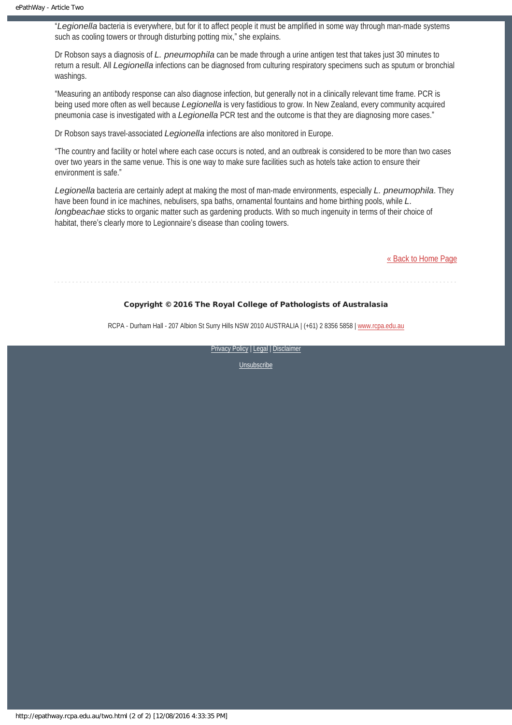"*Legionella* bacteria is everywhere, but for it to affect people it must be amplified in some way through man-made systems such as cooling towers or through disturbing potting mix," she explains.

Dr Robson says a diagnosis of *L. pneumophila* can be made through a urine antigen test that takes just 30 minutes to return a result. All *Legionella* infections can be diagnosed from culturing respiratory specimens such as sputum or bronchial washings.

"Measuring an antibody response can also diagnose infection, but generally not in a clinically relevant time frame. PCR is being used more often as well because *Legionella* is very fastidious to grow. In New Zealand, every community acquired pneumonia case is investigated with a *Legionella* PCR test and the outcome is that they are diagnosing more cases."

Dr Robson says travel-associated *Legionella* infections are also monitored in Europe.

"The country and facility or hotel where each case occurs is noted, and an outbreak is considered to be more than two cases over two years in the same venue. This is one way to make sure facilities such as hotels take action to ensure their environment is safe."

*Legionella* bacteria are certainly adept at making the most of man-made environments, especially *L. pneumophila*. They have been found in ice machines, nebulisers, spa baths, ornamental fountains and home birthing pools, while *L. longbeachae* sticks to organic matter such as gardening products. With so much ingenuity in terms of their choice of habitat, there's clearly more to Legionnaire's disease than cooling towers.

[« Back to Home Page](http://epathway.rcpa.edu.au/index.html)

### Copyright © 2016 The Royal College of Pathologists of Australasia

RCPA - Durham Hall - 207 Albion St Surry Hills NSW 2010 AUSTRALIA | (+61) 2 8356 5858 | [www.rcpa.edu.au](https://www.rcpa.edu.au/)

[Privacy Policy](https://www.rcpa.edu.au/Content-Library/Privacy.aspx) | [Legal](https://www.rcpa.edu.au/Legal.aspx) | Disclaimer

[Unsubscribe](#page-7-0)

http://epathway.rcpa.edu.au/two.html (2 of 2) [12/08/2016 4:33:35 PM]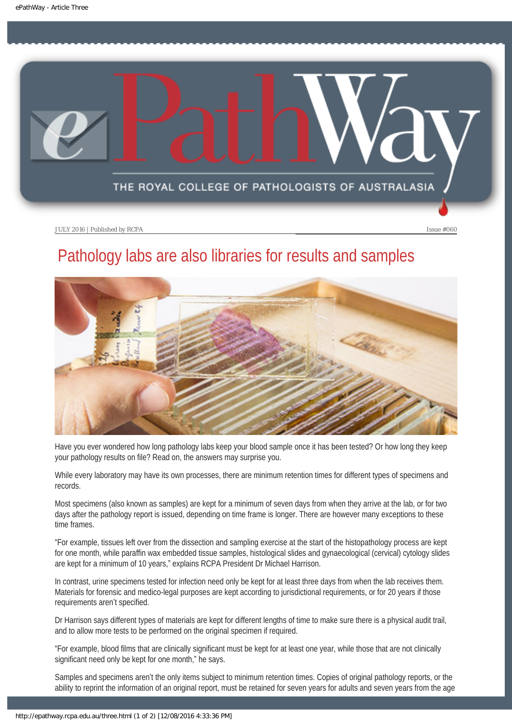<span id="page-12-0"></span>

# Pathology labs are also libraries for results and samples



Have you ever wondered how long pathology labs keep your blood sample once it has been tested? Or how long they keep your pathology results on file? Read on, the answers may surprise you.

While every laboratory may have its own processes, there are minimum retention times for different types of specimens and records.

Most specimens (also known as samples) are kept for a minimum of seven days from when they arrive at the lab, or for two days after the pathology report is issued, depending on time frame is longer. There are however many exceptions to these time frames.

"For example, tissues left over from the dissection and sampling exercise at the start of the histopathology process are kept for one month, while paraffin wax embedded tissue samples, histological slides and gynaecological (cervical) cytology slides are kept for a minimum of 10 years," explains RCPA President Dr Michael Harrison.

In contrast, urine specimens tested for infection need only be kept for at least three days from when the lab receives them. Materials for forensic and medico-legal purposes are kept according to jurisdictional requirements, or for 20 years if those requirements aren't specified.

Dr Harrison says different types of materials are kept for different lengths of time to make sure there is a physical audit trail, and to allow more tests to be performed on the original specimen if required.

"For example, blood films that are clinically significant must be kept for at least one year, while those that are not clinically significant need only be kept for one month," he says.

Samples and specimens aren't the only items subject to minimum retention times. Copies of original pathology reports, or the ability to reprint the information of an original report, must be retained for seven years for adults and seven years from the age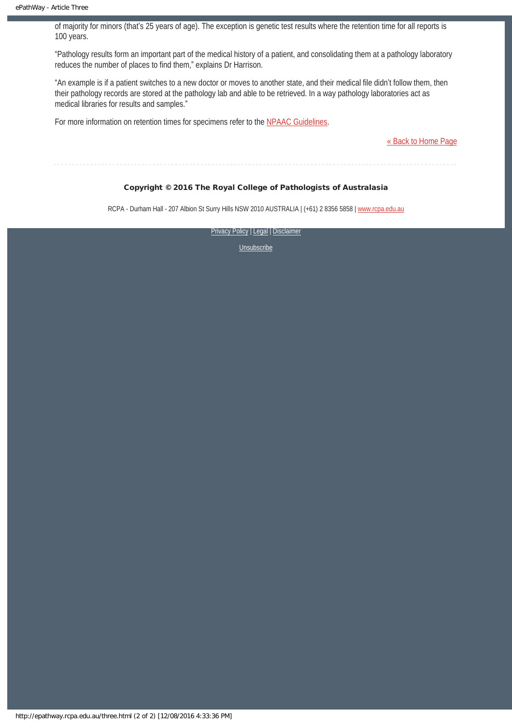of majority for minors (that's 25 years of age). The exception is genetic test results where the retention time for all reports is 100 years.

"Pathology results form an important part of the medical history of a patient, and consolidating them at a pathology laboratory reduces the number of places to find them," explains Dr Harrison.

"An example is if a patient switches to a new doctor or moves to another state, and their medical file didn't follow them, then their pathology records are stored at the pathology lab and able to be retrieved. In a way pathology laboratories act as medical libraries for results and samples."

For more information on retention times for specimens refer to the [NPAAC Guidelines](http://www.health.gov.au/internet/main/publishing.nsf/Content/B8562E2C3D131ED8CA257BF00019153C/$File/V0.24 Retention.pdf).

[« Back to Home Page](http://epathway.rcpa.edu.au/index.html)

Copyright © 2016 The Royal College of Pathologists of Australasia

RCPA - Durham Hall - 207 Albion St Surry Hills NSW 2010 AUSTRALIA | (+61) 2 8356 5858 | [www.rcpa.edu.au](https://www.rcpa.edu.au/)

[Privacy Policy](https://www.rcpa.edu.au/Content-Library/Privacy.aspx) | [Legal](https://www.rcpa.edu.au/Legal.aspx) | Disclaimer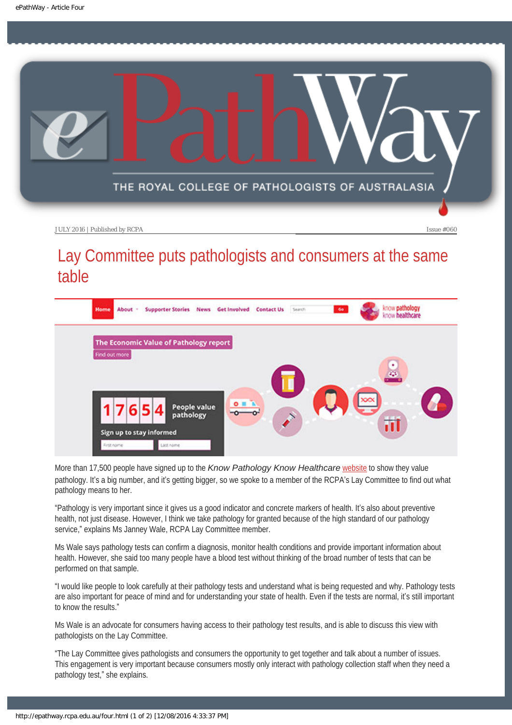<span id="page-14-0"></span>

# Lay Committee puts pathologists and consumers at the same table



More than 17,500 people have signed up to the *Know Pathology Know Healthcare* [website](http://www.knowpathology.com.au/) to show they value pathology. It's a big number, and it's getting bigger, so we spoke to a member of the RCPA's Lay Committee to find out what pathology means to her.

"Pathology is very important since it gives us a good indicator and concrete markers of health. It's also about preventive health, not just disease. However, I think we take pathology for granted because of the high standard of our pathology service," explains Ms Janney Wale, RCPA Lay Committee member.

Ms Wale says pathology tests can confirm a diagnosis, monitor health conditions and provide important information about health. However, she said too many people have a blood test without thinking of the broad number of tests that can be performed on that sample.

"I would like people to look carefully at their pathology tests and understand what is being requested and why. Pathology tests are also important for peace of mind and for understanding your state of health. Even if the tests are normal, it's still important to know the results."

Ms Wale is an advocate for consumers having access to their pathology test results, and is able to discuss this view with pathologists on the Lay Committee.

"The Lay Committee gives pathologists and consumers the opportunity to get together and talk about a number of issues. This engagement is very important because consumers mostly only interact with pathology collection staff when they need a pathology test," she explains.